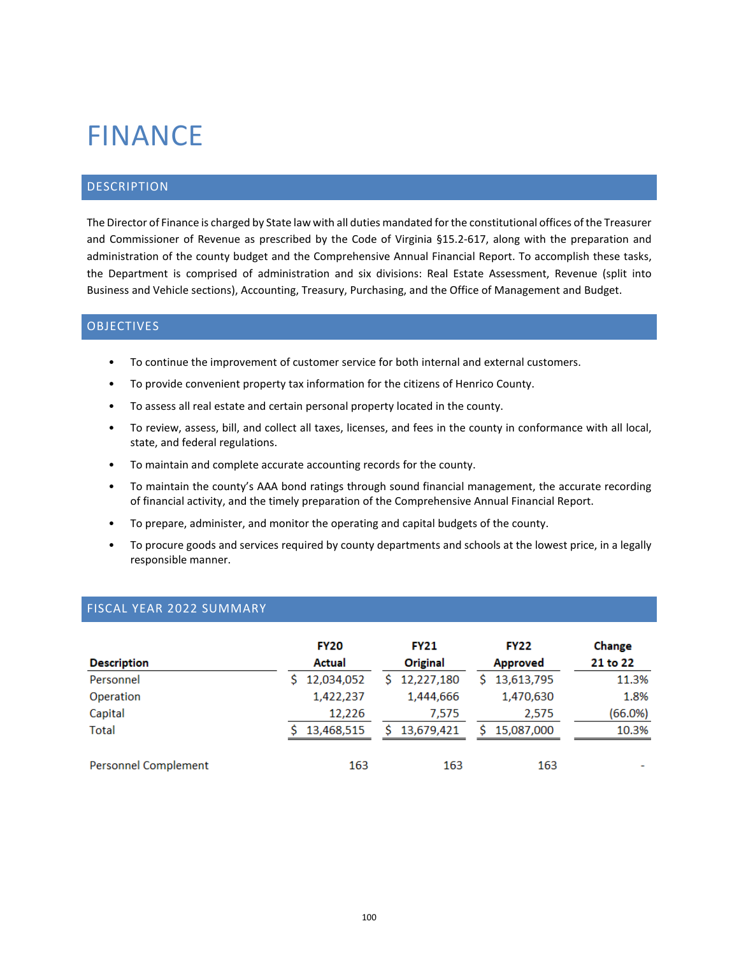# FINANCE

# DESCRIPTION

The Director of Finance is charged by State law with all duties mandated for the constitutional offices of the Treasurer and Commissioner of Revenue as prescribed by the Code of Virginia §15.2-617, along with the preparation and administration of the county budget and the Comprehensive Annual Financial Report. To accomplish these tasks, the Department is comprised of administration and six divisions: Real Estate Assessment, Revenue (split into Business and Vehicle sections), Accounting, Treasury, Purchasing, and the Office of Management and Budget.

# OBJECTIVES

- To continue the improvement of customer service for both internal and external customers.
- To provide convenient property tax information for the citizens of Henrico County.
- To assess all real estate and certain personal property located in the county.
- To review, assess, bill, and collect all taxes, licenses, and fees in the county in conformance with all local, state, and federal regulations.
- To maintain and complete accurate accounting records for the county.
- To maintain the county's AAA bond ratings through sound financial management, the accurate recording of financial activity, and the timely preparation of the Comprehensive Annual Financial Report.
- To prepare, administer, and monitor the operating and capital budgets of the county.
- To procure goods and services required by county departments and schools at the lowest price, in a legally responsible manner.

| FISCAL YEAR 2022 SUMMARY |  |
|--------------------------|--|
|--------------------------|--|

|                             | <b>FY20</b> | <b>FY21</b>  | <b>FY22</b>      | Change   |
|-----------------------------|-------------|--------------|------------------|----------|
| <b>Description</b>          | Actual      | Original     | <b>Approved</b>  | 21 to 22 |
| Personnel                   | 12,034,052  | \$12,227,180 | \$13,613,795     | 11.3%    |
| Operation                   | 1,422,237   | 1,444,666    | 1,470,630        | 1.8%     |
| Capital                     | 12,226      | 7,575        | 2,575            | (66.0%)  |
| <b>Total</b>                | 13,468,515  | \$13,679,421 | 15,087,000<br>S. | 10.3%    |
| <b>Personnel Complement</b> | 163         | 163          | 163              |          |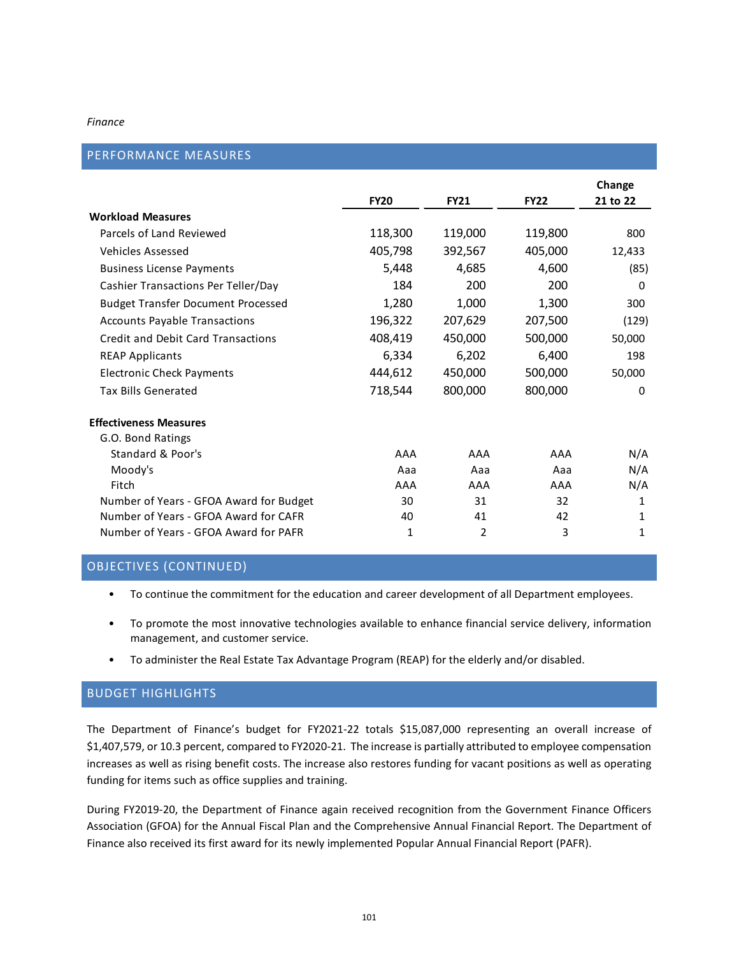### PERFORMANCE MEASURES

|                                           |             |             |             | Change   |
|-------------------------------------------|-------------|-------------|-------------|----------|
|                                           | <b>FY20</b> | <b>FY21</b> | <b>FY22</b> | 21 to 22 |
| <b>Workload Measures</b>                  |             |             |             |          |
| Parcels of Land Reviewed                  | 118,300     | 119,000     | 119,800     | 800      |
| Vehicles Assessed                         | 405,798     | 392,567     | 405,000     | 12,433   |
| <b>Business License Payments</b>          | 5,448       | 4,685       | 4,600       | (85)     |
| Cashier Transactions Per Teller/Day       | 184         | 200         | 200         | 0        |
| <b>Budget Transfer Document Processed</b> | 1,280       | 1,000       | 1,300       | 300      |
| <b>Accounts Payable Transactions</b>      | 196,322     | 207,629     | 207,500     | (129)    |
| <b>Credit and Debit Card Transactions</b> | 408,419     | 450,000     | 500,000     | 50,000   |
| <b>REAP Applicants</b>                    | 6,334       | 6,202       | 6,400       | 198      |
| <b>Electronic Check Payments</b>          | 444,612     | 450,000     | 500,000     | 50,000   |
| <b>Tax Bills Generated</b>                | 718,544     | 800,000     | 800,000     | 0        |
| <b>Effectiveness Measures</b>             |             |             |             |          |
| G.O. Bond Ratings                         |             |             |             |          |
| Standard & Poor's                         | AAA         | AAA         | AAA         | N/A      |
| Moody's                                   | Aaa         | Aaa         | Aaa         | N/A      |
| Fitch                                     | AAA         | AAA         | AAA         | N/A      |
| Number of Years - GFOA Award for Budget   | 30          | 31          | 32          | 1        |
| Number of Years - GFOA Award for CAFR     | 40          | 41          | 42          | 1        |
| Number of Years - GFOA Award for PAFR     | 1           | 2           | 3           | 1        |

## OBJECTIVES (CONTINUED)

- To continue the commitment for the education and career development of all Department employees.
- To promote the most innovative technologies available to enhance financial service delivery, information management, and customer service.
- To administer the Real Estate Tax Advantage Program (REAP) for the elderly and/or disabled.

## BUDGET HIGHLIGHTS

The Department of Finance's budget for FY2021-22 totals \$15,087,000 representing an overall increase of \$1,407,579, or 10.3 percent, compared to FY2020-21. The increase is partially attributed to employee compensation increases as well as rising benefit costs. The increase also restores funding for vacant positions as well as operating funding for items such as office supplies and training.

During FY2019-20, the Department of Finance again received recognition from the Government Finance Officers Association (GFOA) for the Annual Fiscal Plan and the Comprehensive Annual Financial Report. The Department of Finance also received its first award for its newly implemented Popular Annual Financial Report (PAFR).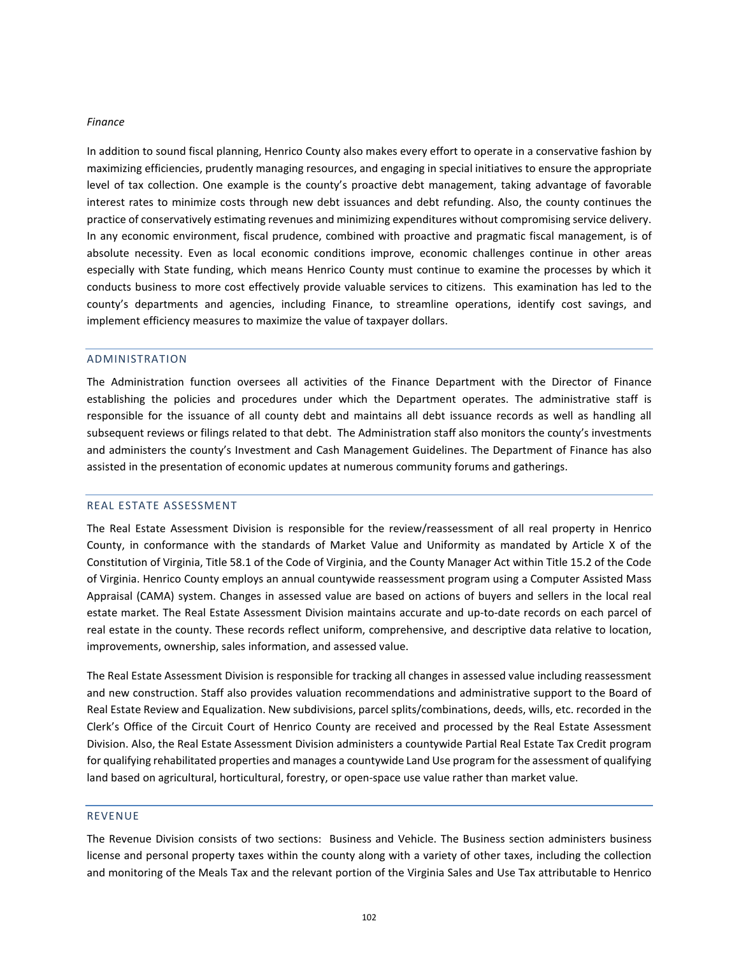In addition to sound fiscal planning, Henrico County also makes every effort to operate in a conservative fashion by maximizing efficiencies, prudently managing resources, and engaging in special initiatives to ensure the appropriate level of tax collection. One example is the county's proactive debt management, taking advantage of favorable interest rates to minimize costs through new debt issuances and debt refunding. Also, the county continues the practice of conservatively estimating revenues and minimizing expenditures without compromising service delivery. In any economic environment, fiscal prudence, combined with proactive and pragmatic fiscal management, is of absolute necessity. Even as local economic conditions improve, economic challenges continue in other areas especially with State funding, which means Henrico County must continue to examine the processes by which it conducts business to more cost effectively provide valuable services to citizens. This examination has led to the county's departments and agencies, including Finance, to streamline operations, identify cost savings, and implement efficiency measures to maximize the value of taxpayer dollars.

#### ADMINISTRATION

The Administration function oversees all activities of the Finance Department with the Director of Finance establishing the policies and procedures under which the Department operates. The administrative staff is responsible for the issuance of all county debt and maintains all debt issuance records as well as handling all subsequent reviews or filings related to that debt. The Administration staff also monitors the county's investments and administers the county's Investment and Cash Management Guidelines. The Department of Finance has also assisted in the presentation of economic updates at numerous community forums and gatherings.

#### REAL ESTATE ASSESSMENT

The Real Estate Assessment Division is responsible for the review/reassessment of all real property in Henrico County, in conformance with the standards of Market Value and Uniformity as mandated by Article X of the Constitution of Virginia, Title 58.1 of the Code of Virginia, and the County Manager Act within Title 15.2 of the Code of Virginia. Henrico County employs an annual countywide reassessment program using a Computer Assisted Mass Appraisal (CAMA) system. Changes in assessed value are based on actions of buyers and sellers in the local real estate market. The Real Estate Assessment Division maintains accurate and up-to-date records on each parcel of real estate in the county. These records reflect uniform, comprehensive, and descriptive data relative to location, improvements, ownership, sales information, and assessed value.

The Real Estate Assessment Division is responsible for tracking all changes in assessed value including reassessment and new construction. Staff also provides valuation recommendations and administrative support to the Board of Real Estate Review and Equalization. New subdivisions, parcel splits/combinations, deeds, wills, etc. recorded in the Clerk's Office of the Circuit Court of Henrico County are received and processed by the Real Estate Assessment Division. Also, the Real Estate Assessment Division administers a countywide Partial Real Estate Tax Credit program for qualifying rehabilitated properties and manages a countywide Land Use program for the assessment of qualifying land based on agricultural, horticultural, forestry, or open-space use value rather than market value.

#### REVENUE

The Revenue Division consists of two sections: Business and Vehicle. The Business section administers business license and personal property taxes within the county along with a variety of other taxes, including the collection and monitoring of the Meals Tax and the relevant portion of the Virginia Sales and Use Tax attributable to Henrico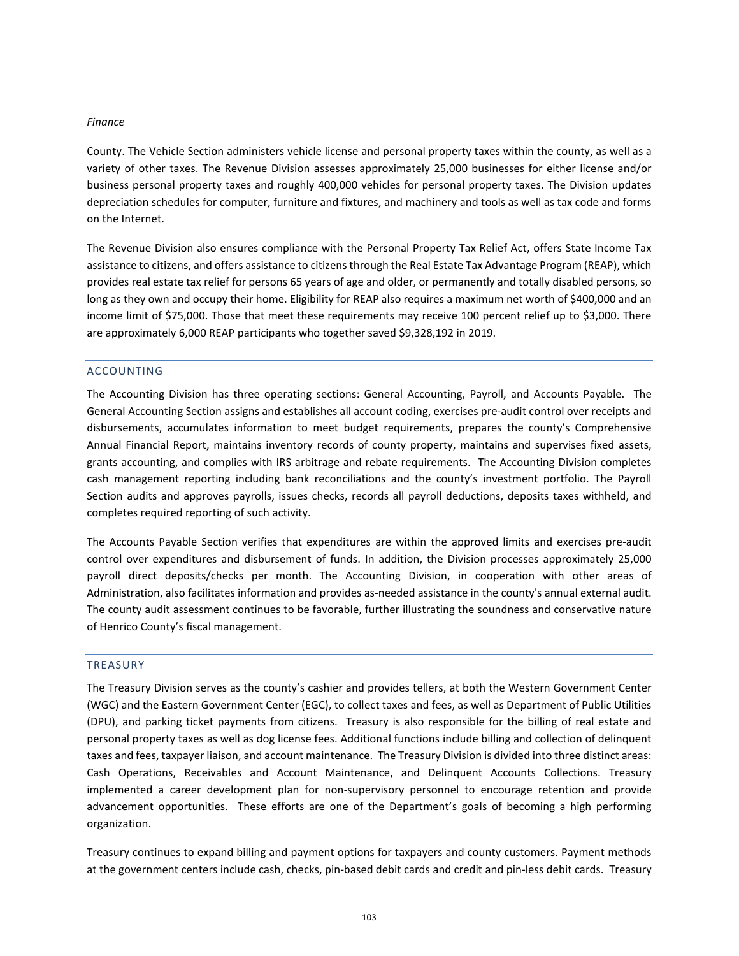County. The Vehicle Section administers vehicle license and personal property taxes within the county, as well as a variety of other taxes. The Revenue Division assesses approximately 25,000 businesses for either license and/or business personal property taxes and roughly 400,000 vehicles for personal property taxes. The Division updates depreciation schedules for computer, furniture and fixtures, and machinery and tools as well as tax code and forms on the Internet.

The Revenue Division also ensures compliance with the Personal Property Tax Relief Act, offers State Income Tax assistance to citizens, and offers assistance to citizens through the Real Estate Tax Advantage Program (REAP), which provides real estate tax relief for persons 65 years of age and older, or permanently and totally disabled persons, so long as they own and occupy their home. Eligibility for REAP also requires a maximum net worth of \$400,000 and an income limit of \$75,000. Those that meet these requirements may receive 100 percent relief up to \$3,000. There are approximately 6,000 REAP participants who together saved \$9,328,192 in 2019.

#### ACCOUNTING

The Accounting Division has three operating sections: General Accounting, Payroll, and Accounts Payable. The General Accounting Section assigns and establishes all account coding, exercises pre-audit control over receipts and disbursements, accumulates information to meet budget requirements, prepares the county's Comprehensive Annual Financial Report, maintains inventory records of county property, maintains and supervises fixed assets, grants accounting, and complies with IRS arbitrage and rebate requirements. The Accounting Division completes cash management reporting including bank reconciliations and the county's investment portfolio. The Payroll Section audits and approves payrolls, issues checks, records all payroll deductions, deposits taxes withheld, and completes required reporting of such activity.

The Accounts Payable Section verifies that expenditures are within the approved limits and exercises pre-audit control over expenditures and disbursement of funds. In addition, the Division processes approximately 25,000 payroll direct deposits/checks per month. The Accounting Division, in cooperation with other areas of Administration, also facilitates information and provides as-needed assistance in the county's annual external audit. The county audit assessment continues to be favorable, further illustrating the soundness and conservative nature of Henrico County's fiscal management.

#### TREASURY

The Treasury Division serves as the county's cashier and provides tellers, at both the Western Government Center (WGC) and the Eastern Government Center (EGC), to collect taxes and fees, as well as Department of Public Utilities (DPU), and parking ticket payments from citizens. Treasury is also responsible for the billing of real estate and personal property taxes as well as dog license fees. Additional functions include billing and collection of delinquent taxes and fees, taxpayer liaison, and account maintenance. The Treasury Division is divided into three distinct areas: Cash Operations, Receivables and Account Maintenance, and Delinquent Accounts Collections. Treasury implemented a career development plan for non-supervisory personnel to encourage retention and provide advancement opportunities. These efforts are one of the Department's goals of becoming a high performing organization.

Treasury continues to expand billing and payment options for taxpayers and county customers. Payment methods at the government centers include cash, checks, pin-based debit cards and credit and pin-less debit cards. Treasury